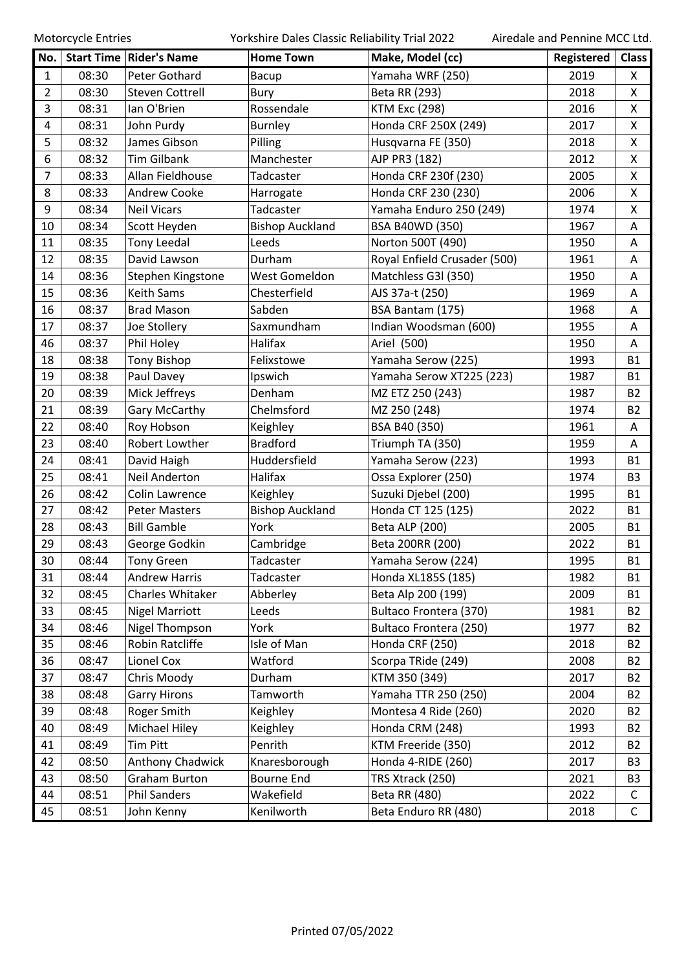Motorcycle Entries **Motorcycle Entries** Yorkshire Dales Classic Reliability Trial 2022 Airedale and Pennine MCC Ltd.

| No.            |       | <b>Start Time   Rider's Name</b> | <b>Home Town</b>       | Make, Model (cc)             | Registered | <b>Class</b>   |
|----------------|-------|----------------------------------|------------------------|------------------------------|------------|----------------|
| $\mathbf{1}$   | 08:30 | Peter Gothard                    | Bacup                  | Yamaha WRF (250)             | 2019       | X              |
| $\overline{2}$ | 08:30 | <b>Steven Cottrell</b>           | Bury                   | Beta RR (293)                | 2018       | X              |
| 3              | 08:31 | lan O'Brien                      | Rossendale             | <b>KTM Exc (298)</b>         | 2016       | X              |
| 4              | 08:31 | John Purdy                       | <b>Burnley</b>         | Honda CRF 250X (249)         | 2017       | X              |
| 5              | 08:32 | James Gibson                     | Pilling                | Husqvarna FE (350)           | 2018       | X              |
| 6              | 08:32 | <b>Tim Gilbank</b>               | Manchester             | AJP PR3 (182)                | 2012       | X              |
| $\overline{7}$ | 08:33 | Allan Fieldhouse                 | Tadcaster              | Honda CRF 230f (230)         | 2005       | X              |
| 8              | 08:33 | Andrew Cooke                     | Harrogate              | Honda CRF 230 (230)          | 2006       | X              |
| 9              | 08:34 | <b>Neil Vicars</b>               | Tadcaster              | Yamaha Enduro 250 (249)      | 1974       | X              |
| 10             | 08:34 | Scott Heyden                     | <b>Bishop Auckland</b> | <b>BSA B40WD (350)</b>       | 1967       | Α              |
| 11             | 08:35 | <b>Tony Leedal</b>               | Leeds                  | Norton 500T (490)            | 1950       | Α              |
| 12             | 08:35 | David Lawson                     | Durham                 | Royal Enfield Crusader (500) | 1961       | A              |
| 14             | 08:36 | Stephen Kingstone                | West Gomeldon          | Matchless G3I (350)          | 1950       | A              |
| 15             | 08:36 | <b>Keith Sams</b>                | Chesterfield           | AJS 37a-t (250)              | 1969       | Α              |
| 16             | 08:37 | <b>Brad Mason</b>                | Sabden                 | BSA Bantam (175)             | 1968       | A              |
| 17             | 08:37 | Joe Stollery                     | Saxmundham             | Indian Woodsman (600)        | 1955       | Α              |
| 46             | 08:37 | Phil Holey                       | Halifax                | Ariel (500)                  | 1950       | A              |
| 18             | 08:38 | <b>Tony Bishop</b>               | Felixstowe             | Yamaha Serow (225)           | 1993       | <b>B1</b>      |
| 19             | 08:38 | Paul Davey                       | Ipswich                | Yamaha Serow XT225 (223)     | 1987       | <b>B1</b>      |
| 20             | 08:39 | Mick Jeffreys                    | Denham                 | MZ ETZ 250 (243)             | 1987       | <b>B2</b>      |
| 21             | 08:39 | Gary McCarthy                    | Chelmsford             | MZ 250 (248)                 | 1974       | <b>B2</b>      |
| 22             | 08:40 | Roy Hobson                       | Keighley               | BSA B40 (350)                | 1961       | A              |
| 23             | 08:40 | Robert Lowther                   | <b>Bradford</b>        | Triumph TA (350)             | 1959       | A              |
| 24             | 08:41 | David Haigh                      | Huddersfield           | Yamaha Serow (223)           | 1993       | <b>B1</b>      |
| 25             | 08:41 | <b>Neil Anderton</b>             | Halifax                | Ossa Explorer (250)          | 1974       | B <sub>3</sub> |
| 26             | 08:42 | Colin Lawrence                   | Keighley               | Suzuki Djebel (200)          | 1995       | <b>B1</b>      |
| 27             | 08:42 | <b>Peter Masters</b>             | <b>Bishop Auckland</b> | Honda CT 125 (125)           | 2022       | <b>B1</b>      |
| 28             | 08:43 | <b>Bill Gamble</b>               | York                   | Beta ALP (200)               | 2005       | <b>B1</b>      |
| 29             | 08:43 | George Godkin                    | Cambridge              | Beta 200RR (200)             | 2022       | <b>B1</b>      |
| 30             | 08:44 | <b>Tony Green</b>                | Tadcaster              | Yamaha Serow (224)           | 1995       | <b>B1</b>      |
| 31             | 08:44 | <b>Andrew Harris</b>             | Tadcaster              | Honda XL185S (185)           | 1982       | <b>B1</b>      |
| 32             | 08:45 | Charles Whitaker                 | Abberley               | Beta Alp 200 (199)           | 2009       | <b>B1</b>      |
| 33             | 08:45 | <b>Nigel Marriott</b>            | Leeds                  | Bultaco Frontera (370)       | 1981       | B <sub>2</sub> |
| 34             | 08:46 | Nigel Thompson                   | York                   | Bultaco Frontera (250)       | 1977       | B <sub>2</sub> |
| 35             | 08:46 | Robin Ratcliffe                  | Isle of Man            | Honda CRF (250)              | 2018       | <b>B2</b>      |
| 36             | 08:47 | Lionel Cox                       | Watford                | Scorpa TRide (249)           | 2008       | <b>B2</b>      |
| 37             | 08:47 | Chris Moody                      | Durham                 | KTM 350 (349)                | 2017       | <b>B2</b>      |
| 38             | 08:48 | <b>Garry Hirons</b>              | Tamworth               | Yamaha TTR 250 (250)         | 2004       | B <sub>2</sub> |
| 39             | 08:48 | Roger Smith                      | Keighley               | Montesa 4 Ride (260)         | 2020       | <b>B2</b>      |
| 40             | 08:49 | Michael Hiley                    | Keighley               | Honda CRM (248)              | 1993       | B <sub>2</sub> |
| 41             | 08:49 | Tim Pitt                         | Penrith                | KTM Freeride (350)           | 2012       | B <sub>2</sub> |
| 42             | 08:50 | Anthony Chadwick                 | Knaresborough          | Honda 4-RIDE (260)           | 2017       | B <sub>3</sub> |
| 43             | 08:50 | <b>Graham Burton</b>             | <b>Bourne End</b>      | TRS Xtrack (250)             | 2021       | B <sub>3</sub> |
| 44             | 08:51 | <b>Phil Sanders</b>              | Wakefield              | Beta RR (480)                | 2022       | C              |
| 45             | 08:51 | John Kenny                       | Kenilworth             | Beta Enduro RR (480)         | 2018       | $\mathsf C$    |